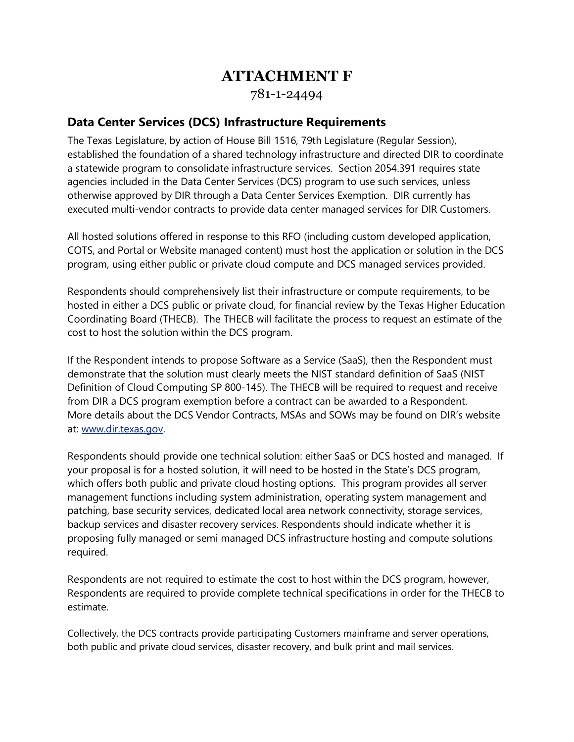# **ATTACHMENT F**

781-1-24494

## **Data Center Services (DCS) Infrastructure Requirements**

The Texas Legislature, by action of House Bill 1516, 79th Legislature (Regular Session), established the foundation of a shared technology infrastructure and directed DIR to coordinate a statewide program to consolidate infrastructure services. Section 2054.391 requires state agencies included in the Data Center Services (DCS) program to use such services, unless otherwise approved by DIR through a Data Center Services Exemption. DIR currently has executed multi-vendor contracts to provide data center managed services for DIR Customers.

All hosted solutions offered in response to this RFO (including custom developed application, COTS, and Portal or Website managed content) must host the application or solution in the DCS program, using either public or private cloud compute and DCS managed services provided.

Respondents should comprehensively list their infrastructure or compute requirements, to be hosted in either a DCS public or private cloud, for financial review by the Texas Higher Education Coordinating Board (THECB). The THECB will facilitate the process to request an estimate of the cost to host the solution within the DCS program.

If the Respondent intends to propose Software as a Service (SaaS), then the Respondent must demonstrate that the solution must clearly meets the NIST standard definition of SaaS (NIST Definition of Cloud Computing SP 800-145). The THECB will be required to request and receive from DIR a DCS program exemption before a contract can be awarded to a Respondent. More details about the DCS Vendor Contracts, MSAs and SOWs may be found on DIR's website at: [www.dir.texas.gov.](http://www.dir.texas.gov/)

Respondents should provide one technical solution: either SaaS or DCS hosted and managed. If your proposal is for a hosted solution, it will need to be hosted in the State's DCS program, which offers both public and private cloud hosting options. This program provides all server management functions including system administration, operating system management and patching, base security services, dedicated local area network connectivity, storage services, backup services and disaster recovery services. Respondents should indicate whether it is proposing fully managed or semi managed DCS infrastructure hosting and compute solutions required.

Respondents are not required to estimate the cost to host within the DCS program, however, Respondents are required to provide complete technical specifications in order for the THECB to estimate.

Collectively, the DCS contracts provide participating Customers mainframe and server operations, both public and private cloud services, disaster recovery, and bulk print and mail services.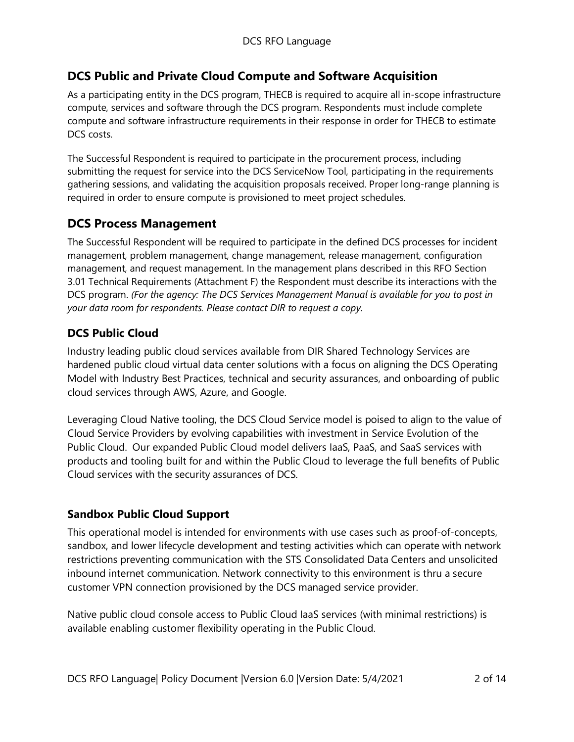## **DCS Public and Private Cloud Compute and Software Acquisition**

As a participating entity in the DCS program, THECB is required to acquire all in-scope infrastructure compute, services and software through the DCS program. Respondents must include complete compute and software infrastructure requirements in their response in order for THECB to estimate DCS costs.

The Successful Respondent is required to participate in the procurement process, including submitting the request for service into the DCS ServiceNow Tool, participating in the requirements gathering sessions, and validating the acquisition proposals received. Proper long-range planning is required in order to ensure compute is provisioned to meet project schedules.

## **DCS Process Management**

The Successful Respondent will be required to participate in the defined DCS processes for incident management, problem management, change management, release management, configuration management, and request management. In the management plans described in this RFO Section 3.01 Technical Requirements (Attachment F) the Respondent must describe its interactions with the DCS program. *(For the agency: The DCS Services Management Manual is available for you to post in your data room for respondents. Please contact DIR to request a copy*.

## **DCS Public Cloud**

Industry leading public cloud services available from DIR Shared Technology Services are hardened public cloud virtual data center solutions with a focus on aligning the DCS Operating Model with Industry Best Practices, technical and security assurances, and onboarding of public cloud services through AWS, Azure, and Google.

Leveraging Cloud Native tooling, the DCS Cloud Service model is poised to align to the value of Cloud Service Providers by evolving capabilities with investment in Service Evolution of the Public Cloud. Our expanded Public Cloud model delivers IaaS, PaaS, and SaaS services with products and tooling built for and within the Public Cloud to leverage the full benefits of Public Cloud services with the security assurances of DCS.

#### **Sandbox Public Cloud Support**

This operational model is intended for environments with use cases such as proof-of-concepts, sandbox, and lower lifecycle development and testing activities which can operate with network restrictions preventing communication with the STS Consolidated Data Centers and unsolicited inbound internet communication. Network connectivity to this environment is thru a secure customer VPN connection provisioned by the DCS managed service provider.

Native public cloud console access to Public Cloud IaaS services (with minimal restrictions) is available enabling customer flexibility operating in the Public Cloud.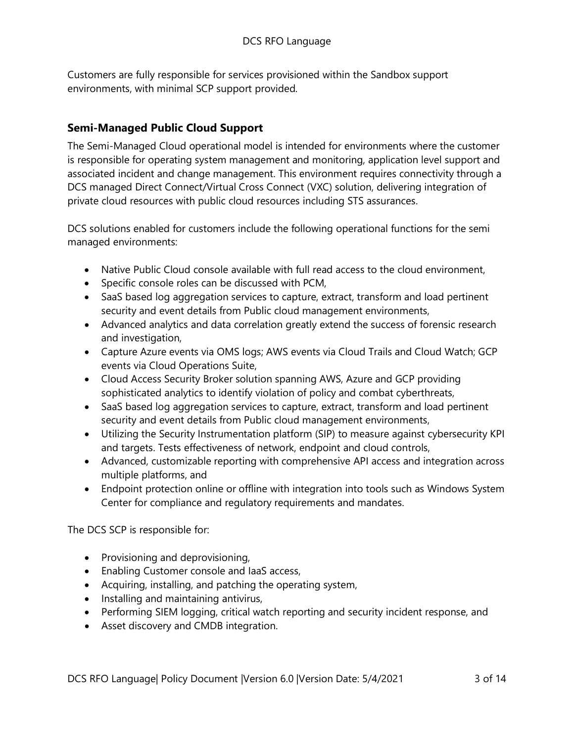Customers are fully responsible for services provisioned within the Sandbox support environments, with minimal SCP support provided.

## **Semi-Managed Public Cloud Support**

The Semi-Managed Cloud operational model is intended for environments where the customer is responsible for operating system management and monitoring, application level support and associated incident and change management. This environment requires connectivity through a DCS managed Direct Connect/Virtual Cross Connect (VXC) solution, delivering integration of private cloud resources with public cloud resources including STS assurances.

DCS solutions enabled for customers include the following operational functions for the semi managed environments:

- Native Public Cloud console available with full read access to the cloud environment,
- Specific console roles can be discussed with PCM,
- SaaS based log aggregation services to capture, extract, transform and load pertinent security and event details from Public cloud management environments,
- Advanced analytics and data correlation greatly extend the success of forensic research and investigation,
- Capture Azure events via OMS logs; AWS events via Cloud Trails and Cloud Watch; GCP events via Cloud Operations Suite,
- Cloud Access Security Broker solution spanning AWS, Azure and GCP providing sophisticated analytics to identify violation of policy and combat cyberthreats,
- SaaS based log aggregation services to capture, extract, transform and load pertinent security and event details from Public cloud management environments,
- Utilizing the Security Instrumentation platform (SIP) to measure against cybersecurity KPI and targets. Tests effectiveness of network, endpoint and cloud controls,
- Advanced, customizable reporting with comprehensive API access and integration across multiple platforms, and
- Endpoint protection online or offline with integration into tools such as Windows System Center for compliance and regulatory requirements and mandates.

The DCS SCP is responsible for:

- Provisioning and deprovisioning,
- Enabling Customer console and IaaS access,
- Acquiring, installing, and patching the operating system,
- Installing and maintaining antivirus,
- Performing SIEM logging, critical watch reporting and security incident response, and
- Asset discovery and CMDB integration.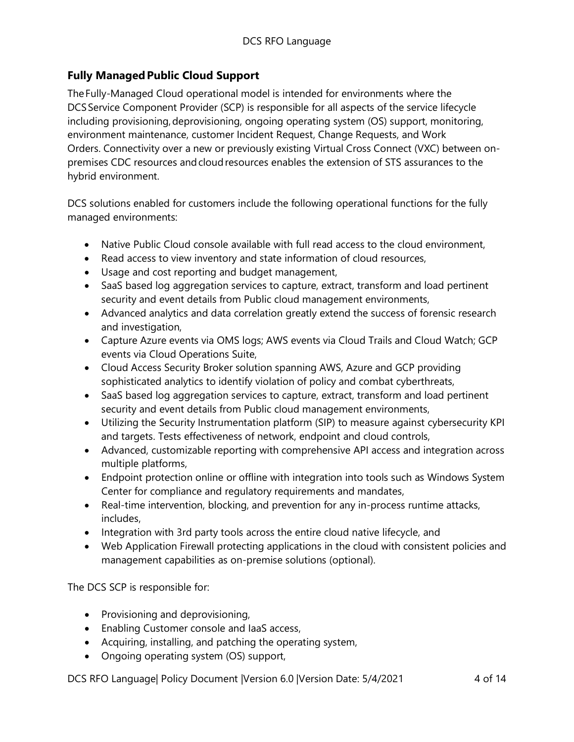## **Fully Managed Public Cloud Support**

The Fully-Managed Cloud operational model is intended for environments where the DCS Service Component Provider (SCP) is responsible for all aspects of the service lifecycle including provisioning, deprovisioning, ongoing operating system (OS) support, monitoring, environment maintenance, customer Incident Request, Change Requests, and Work Orders.  Connectivity over a new or previously existing Virtual Cross Connect (VXC) between onpremises CDC resources and cloud resources enables the extension of STS assurances to the hybrid environment.

DCS solutions enabled for customers include the following operational functions for the fully managed environments:

- Native Public Cloud console available with full read access to the cloud environment.
- Read access to view inventory and state information of cloud resources,
- Usage and cost reporting and budget management,
- SaaS based log aggregation services to capture, extract, transform and load pertinent security and event details from Public cloud management environments,
- Advanced analytics and data correlation greatly extend the success of forensic research and investigation,
- Capture Azure events via OMS logs; AWS events via Cloud Trails and Cloud Watch; GCP events via Cloud Operations Suite,
- Cloud Access Security Broker solution spanning AWS, Azure and GCP providing sophisticated analytics to identify violation of policy and combat cyberthreats,
- SaaS based log aggregation services to capture, extract, transform and load pertinent security and event details from Public cloud management environments,
- Utilizing the Security Instrumentation platform (SIP) to measure against cybersecurity KPI and targets. Tests effectiveness of network, endpoint and cloud controls,
- Advanced, customizable reporting with comprehensive API access and integration across multiple platforms,
- Endpoint protection online or offline with integration into tools such as Windows System Center for compliance and regulatory requirements and mandates,
- Real-time intervention, blocking, and prevention for any in-process runtime attacks, includes,
- Integration with 3rd party tools across the entire cloud native lifecycle, and
- Web Application Firewall protecting applications in the cloud with consistent policies and management capabilities as on-premise solutions (optional).

The DCS SCP is responsible for:

- Provisioning and deprovisioning,
- Enabling Customer console and IaaS access,
- Acquiring, installing, and patching the operating system,
- Ongoing operating system (OS) support,

DCS RFO Language| Policy Document | Version 6.0 | Version Date: 5/4/2021 4 of 14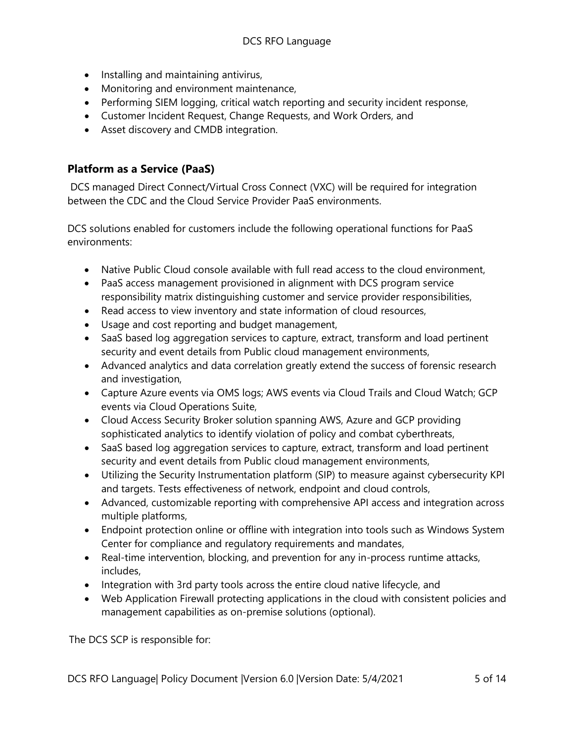- Installing and maintaining antivirus,
- Monitoring and environment maintenance,
- Performing SIEM logging, critical watch reporting and security incident response,
- Customer Incident Request, Change Requests, and Work Orders, and
- Asset discovery and CMDB integration.

## **Platform as a Service (PaaS)**

DCS managed Direct Connect/Virtual Cross Connect (VXC) will be required for integration between the CDC and the Cloud Service Provider PaaS environments.

DCS solutions enabled for customers include the following operational functions for PaaS environments:

- Native Public Cloud console available with full read access to the cloud environment,
- PaaS access management provisioned in alignment with DCS program service responsibility matrix distinguishing customer and service provider responsibilities,
- Read access to view inventory and state information of cloud resources,
- Usage and cost reporting and budget management,
- SaaS based log aggregation services to capture, extract, transform and load pertinent security and event details from Public cloud management environments,
- Advanced analytics and data correlation greatly extend the success of forensic research and investigation,
- Capture Azure events via OMS logs; AWS events via Cloud Trails and Cloud Watch; GCP events via Cloud Operations Suite,
- Cloud Access Security Broker solution spanning AWS, Azure and GCP providing sophisticated analytics to identify violation of policy and combat cyberthreats,
- SaaS based log aggregation services to capture, extract, transform and load pertinent security and event details from Public cloud management environments,
- Utilizing the Security Instrumentation platform (SIP) to measure against cybersecurity KPI and targets. Tests effectiveness of network, endpoint and cloud controls,
- Advanced, customizable reporting with comprehensive API access and integration across multiple platforms,
- Endpoint protection online or offline with integration into tools such as Windows System Center for compliance and regulatory requirements and mandates,
- Real-time intervention, blocking, and prevention for any in-process runtime attacks, includes,
- Integration with 3rd party tools across the entire cloud native lifecycle, and
- Web Application Firewall protecting applications in the cloud with consistent policies and management capabilities as on-premise solutions (optional).

The DCS SCP is responsible for: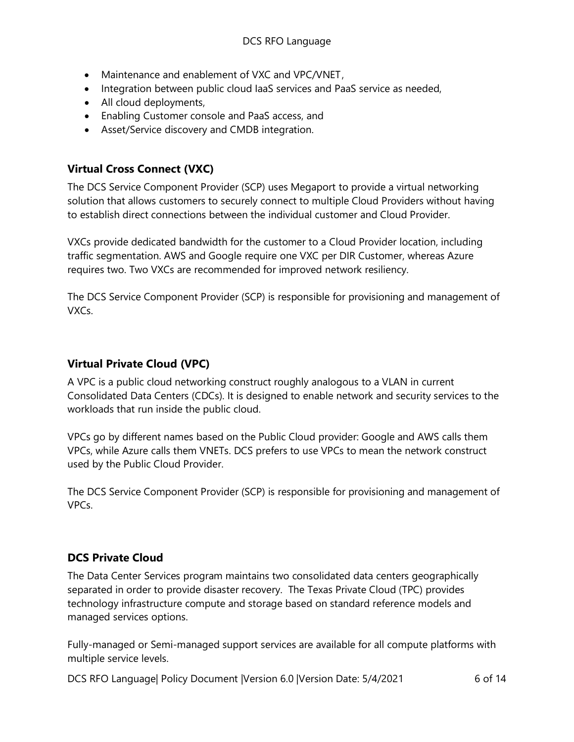- Maintenance and enablement of VXC and VPC/VNET ,
- Integration between public cloud IaaS services and PaaS service as needed,
- All cloud deployments,
- Enabling Customer console and PaaS access, and
- Asset/Service discovery and CMDB integration.

## **Virtual Cross Connect (VXC)**

The DCS Service Component Provider (SCP) uses Megaport to provide a virtual networking solution that allows customers to securely connect to multiple Cloud Providers without having to establish direct connections between the individual customer and Cloud Provider.

VXCs provide dedicated bandwidth for the customer to a Cloud Provider location, including traffic segmentation. AWS and Google require one VXC per DIR Customer, whereas Azure requires two. Two VXCs are recommended for improved network resiliency.

The DCS Service Component Provider (SCP) is responsible for provisioning and management of VXCs.

## **Virtual Private Cloud (VPC)**

A VPC is a public cloud networking construct roughly analogous to a VLAN in current Consolidated Data Centers (CDCs). It is designed to enable network and security services to the workloads that run inside the public cloud.

VPCs go by different names based on the Public Cloud provider: Google and AWS calls them VPCs, while Azure calls them VNETs. DCS prefers to use VPCs to mean the network construct used by the Public Cloud Provider.

The DCS Service Component Provider (SCP) is responsible for provisioning and management of VPCs.

## **DCS Private Cloud**

The Data Center Services program maintains two consolidated data centers geographically separated in order to provide disaster recovery. The Texas Private Cloud (TPC) provides technology infrastructure compute and storage based on standard reference models and managed services options.

Fully-managed or Semi-managed support services are available for all compute platforms with multiple service levels.

DCS RFO Language| Policy Document |Version 6.0 |Version Date: 5/4/2021 6 of 14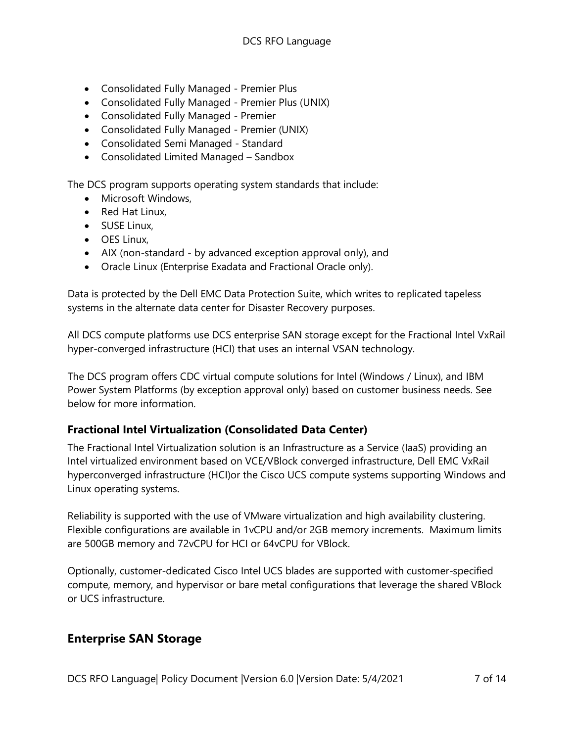- Consolidated Fully Managed Premier Plus
- Consolidated Fully Managed Premier Plus (UNIX)
- Consolidated Fully Managed Premier
- Consolidated Fully Managed Premier (UNIX)
- Consolidated Semi Managed Standard
- Consolidated Limited Managed Sandbox

The DCS program supports operating system standards that include:

- Microsoft Windows,
- Red Hat Linux,
- SUSE Linux,
- OES Linux,
- AIX (non-standard by advanced exception approval only), and
- Oracle Linux (Enterprise Exadata and Fractional Oracle only).

Data is protected by the Dell EMC Data Protection Suite, which writes to replicated tapeless systems in the alternate data center for Disaster Recovery purposes.

All DCS compute platforms use DCS enterprise SAN storage except for the Fractional Intel VxRail hyper-converged infrastructure (HCI) that uses an internal VSAN technology.

The DCS program offers CDC virtual compute solutions for Intel (Windows / Linux), and IBM Power System Platforms (by exception approval only) based on customer business needs. See below for more information.

## **Fractional Intel Virtualization (Consolidated Data Center)**

The Fractional Intel Virtualization solution is an Infrastructure as a Service (IaaS) providing an Intel virtualized environment based on VCE/VBlock converged infrastructure, Dell EMC VxRail hyperconverged infrastructure (HCI)or the Cisco UCS compute systems supporting Windows and Linux operating systems.

Reliability is supported with the use of VMware virtualization and high availability clustering. Flexible configurations are available in 1vCPU and/or 2GB memory increments. Maximum limits are 500GB memory and 72vCPU for HCI or 64vCPU for VBlock.

Optionally, customer-dedicated Cisco Intel UCS blades are supported with customer-specified compute, memory, and hypervisor or bare metal configurations that leverage the shared VBlock or UCS infrastructure.

## **Enterprise SAN Storage**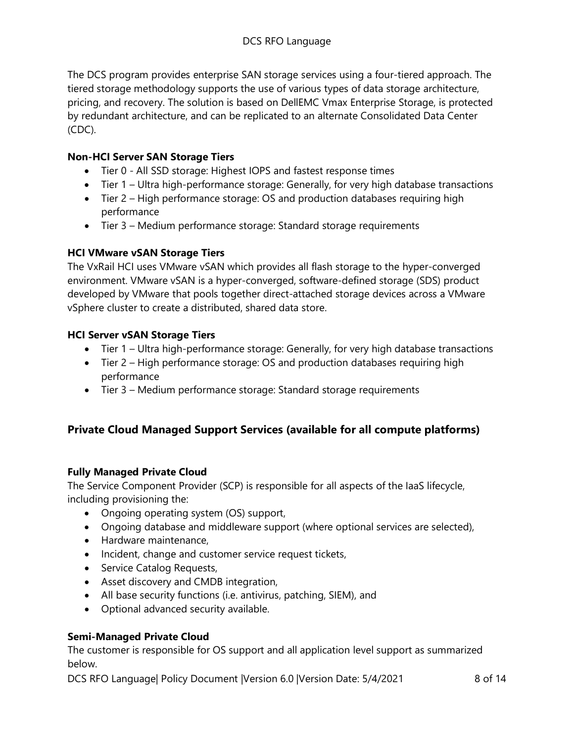The DCS program provides enterprise SAN storage services using a four-tiered approach. The tiered storage methodology supports the use of various types of data storage architecture, pricing, and recovery. The solution is based on DellEMC Vmax Enterprise Storage, is protected by redundant architecture, and can be replicated to an alternate Consolidated Data Center (CDC).

#### **Non-HCI Server SAN Storage Tiers**

- Tier 0 All SSD storage: Highest IOPS and fastest response times
- Tier 1 Ultra high-performance storage: Generally, for very high database transactions
- Tier 2 High performance storage: OS and production databases requiring high performance
- Tier 3 Medium performance storage: Standard storage requirements

#### **HCI VMware vSAN Storage Tiers**

The VxRail HCI uses VMware vSAN which provides all flash storage to the hyper-converged environment. VMware vSAN is a hyper-converged, software-defined storage (SDS) product developed by VMware that pools together direct-attached storage devices across a VMware vSphere cluster to create a distributed, shared data store.

#### **HCI Server vSAN Storage Tiers**

- Tier 1 Ultra high-performance storage: Generally, for very high database transactions
- Tier 2 High performance storage: OS and production databases requiring high performance
- Tier 3 Medium performance storage: Standard storage requirements

## **Private Cloud Managed Support Services (available for all compute platforms)**

#### **Fully Managed Private Cloud**

The Service Component Provider (SCP) is responsible for all aspects of the IaaS lifecycle, including provisioning the:

- Ongoing operating system (OS) support,
- Ongoing database and middleware support (where optional services are selected),
- Hardware maintenance,
- Incident, change and customer service request tickets,
- Service Catalog Requests,
- Asset discovery and CMDB integration,
- All base security functions (i.e. antivirus, patching, SIEM), and
- Optional advanced security available.

#### **Semi-Managed Private Cloud**

The customer is responsible for OS support and all application level support as summarized below.

DCS RFO Language| Policy Document | Version 6.0 | Version Date: 5/4/2021 8 of 14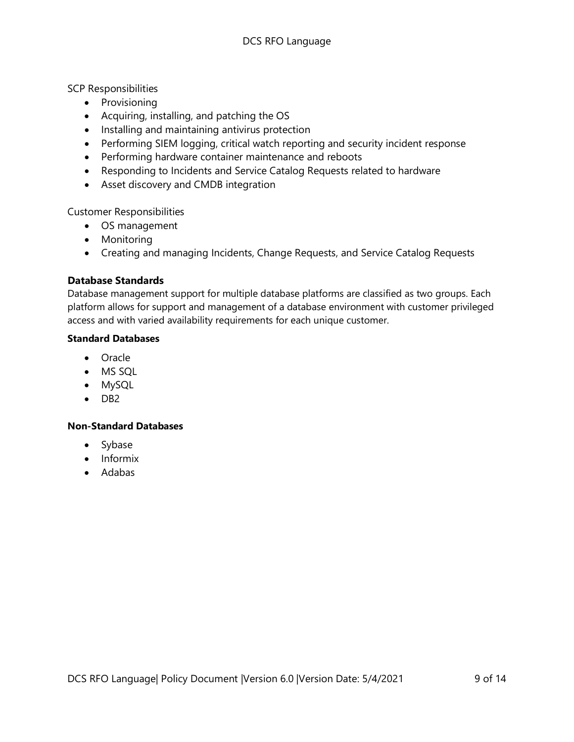#### SCP Responsibilities

- Provisioning
- Acquiring, installing, and patching the OS
- Installing and maintaining antivirus protection
- Performing SIEM logging, critical watch reporting and security incident response
- Performing hardware container maintenance and reboots
- Responding to Incidents and Service Catalog Requests related to hardware
- Asset discovery and CMDB integration

Customer Responsibilities

- OS management
- Monitoring
- Creating and managing Incidents, Change Requests, and Service Catalog Requests

#### **Database Standards**

Database management support for multiple database platforms are classified as two groups. Each platform allows for support and management of a database environment with customer privileged access and with varied availability requirements for each unique customer.

#### **Standard Databases**

- Oracle
- MS SQL
- MySQL
- DB2

#### **Non-Standard Databases**

- Sybase
- Informix
- Adabas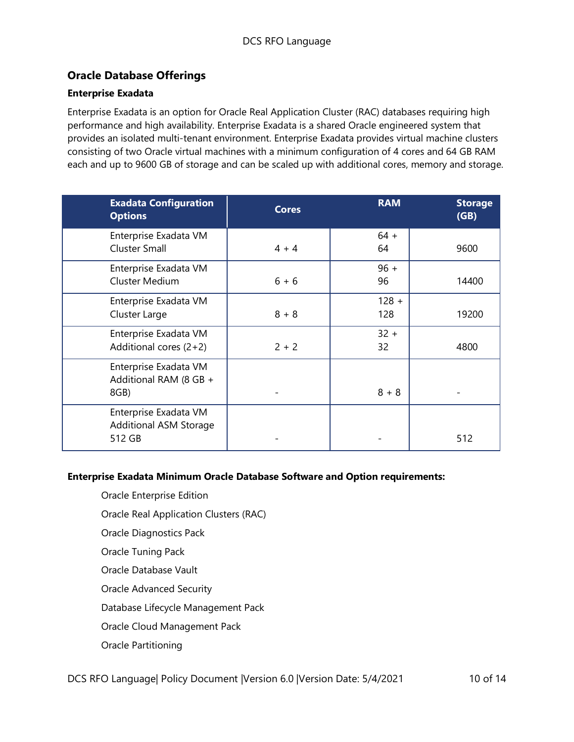## **Oracle Database Offerings**

#### **Enterprise Exadata**

Enterprise Exadata is an option for Oracle Real Application Cluster (RAC) databases requiring high performance and high availability. Enterprise Exadata is a shared Oracle engineered system that provides an isolated multi-tenant environment. Enterprise Exadata provides virtual machine clusters consisting of two Oracle virtual machines with a minimum configuration of 4 cores and 64 GB RAM each and up to 9600 GB of storage and can be scaled up with additional cores, memory and storage.

| <b>Exadata Configuration</b><br><b>Options</b>                   | <b>Cores</b> | <b>RAM</b>     | <b>Storage</b><br>(GB) |
|------------------------------------------------------------------|--------------|----------------|------------------------|
| Enterprise Exadata VM<br>Cluster Small                           | $4 + 4$      | $64 +$<br>64   | 9600                   |
| Enterprise Exadata VM<br><b>Cluster Medium</b>                   | $6 + 6$      | $96 +$<br>96   | 14400                  |
| Enterprise Exadata VM<br>Cluster Large                           | $8 + 8$      | $128 +$<br>128 | 19200                  |
| Enterprise Exadata VM<br>Additional cores $(2+2)$                | $2 + 2$      | $32 +$<br>32   | 4800                   |
| Enterprise Exadata VM<br>Additional RAM (8 GB +<br>8GB)          |              | $8 + 8$        |                        |
| Enterprise Exadata VM<br><b>Additional ASM Storage</b><br>512 GB |              |                | 512                    |

#### **Enterprise Exadata Minimum Oracle Database Software and Option requirements:**

- Oracle Enterprise Edition
- Oracle Real Application Clusters (RAC)
- Oracle Diagnostics Pack
- Oracle Tuning Pack
- Oracle Database Vault
- Oracle Advanced Security
- Database Lifecycle Management Pack
- Oracle Cloud Management Pack
- Oracle Partitioning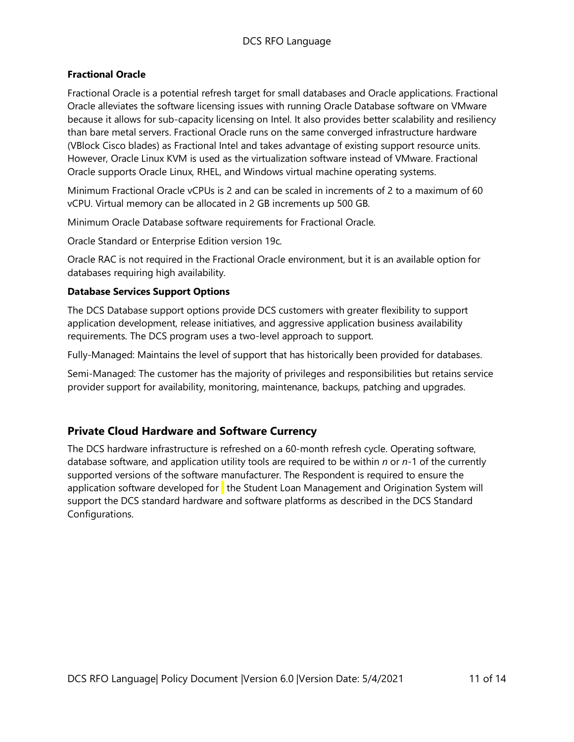#### **Fractional Oracle**

Fractional Oracle is a potential refresh target for small databases and Oracle applications. Fractional Oracle alleviates the software licensing issues with running Oracle Database software on VMware because it allows for sub-capacity licensing on Intel. It also provides better scalability and resiliency than bare metal servers. Fractional Oracle runs on the same converged infrastructure hardware (VBlock Cisco blades) as Fractional Intel and takes advantage of existing support resource units. However, Oracle Linux KVM is used as the virtualization software instead of VMware. Fractional Oracle supports Oracle Linux, RHEL, and Windows virtual machine operating systems.

Minimum Fractional Oracle vCPUs is 2 and can be scaled in increments of 2 to a maximum of 60 vCPU. Virtual memory can be allocated in 2 GB increments up 500 GB.

Minimum Oracle Database software requirements for Fractional Oracle.

Oracle Standard or Enterprise Edition version 19c.

Oracle RAC is not required in the Fractional Oracle environment, but it is an available option for databases requiring high availability.

#### **Database Services Support Options**

The DCS Database support options provide DCS customers with greater flexibility to support application development, release initiatives, and aggressive application business availability requirements. The DCS program uses a two-level approach to support.

Fully-Managed: Maintains the level of support that has historically been provided for databases.

Semi-Managed: The customer has the majority of privileges and responsibilities but retains service provider support for availability, monitoring, maintenance, backups, patching and upgrades.

#### **Private Cloud Hardware and Software Currency**

The DCS hardware infrastructure is refreshed on a 60-month refresh cycle. Operating software, database software, and application utility tools are required to be within *n* or *n*-1 of the currently supported versions of the software manufacturer. The Respondent is required to ensure the application software developed for  $\mathbf t$  the Student Loan Management and Origination System will support the DCS standard hardware and software platforms as described in the DCS Standard Configurations.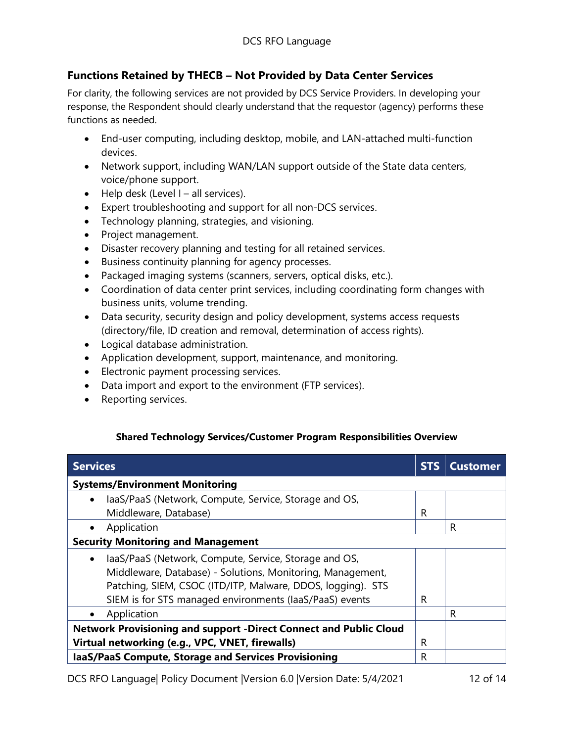## **Functions Retained by THECB – Not Provided by Data Center Services**

For clarity, the following services are not provided by DCS Service Providers. In developing your response, the Respondent should clearly understand that the requestor (agency) performs these functions as needed.

- End-user computing, including desktop, mobile, and LAN-attached multi-function devices.
- Network support, including WAN/LAN support outside of the State data centers, voice/phone support.
- $\bullet$  Help desk (Level I all services).
- Expert troubleshooting and support for all non-DCS services.
- Technology planning, strategies, and visioning.
- Project management.
- Disaster recovery planning and testing for all retained services.
- Business continuity planning for agency processes.
- Packaged imaging systems (scanners, servers, optical disks, etc.).
- Coordination of data center print services, including coordinating form changes with business units, volume trending.
- Data security, security design and policy development, systems access requests (directory/file, ID creation and removal, determination of access rights).
- Logical database administration.
- Application development, support, maintenance, and monitoring.
- Electronic payment processing services.
- Data import and export to the environment (FTP services).
- Reporting services.

#### **Shared Technology Services/Customer Program Responsibilities Overview**

| <b>Services</b>                                                          | <b>STS</b> | <b>Customer</b> |
|--------------------------------------------------------------------------|------------|-----------------|
| <b>Systems/Environment Monitoring</b>                                    |            |                 |
| laaS/PaaS (Network, Compute, Service, Storage and OS,<br>$\bullet$       |            |                 |
| Middleware, Database)                                                    | R          |                 |
| Application<br>$\bullet$                                                 |            | R               |
| <b>Security Monitoring and Management</b>                                |            |                 |
| laaS/PaaS (Network, Compute, Service, Storage and OS,<br>$\bullet$       |            |                 |
| Middleware, Database) - Solutions, Monitoring, Management,               |            |                 |
| Patching, SIEM, CSOC (ITD/ITP, Malware, DDOS, logging). STS              |            |                 |
| SIEM is for STS managed environments (laaS/PaaS) events                  | R          |                 |
| Application                                                              |            | R               |
| <b>Network Provisioning and support -Direct Connect and Public Cloud</b> |            |                 |
| Virtual networking (e.g., VPC, VNET, firewalls)                          | R          |                 |
| laaS/PaaS Compute, Storage and Services Provisioning                     | R          |                 |

DCS RFO Language| Policy Document | Version 6.0 | Version Date: 5/4/2021 12 of 14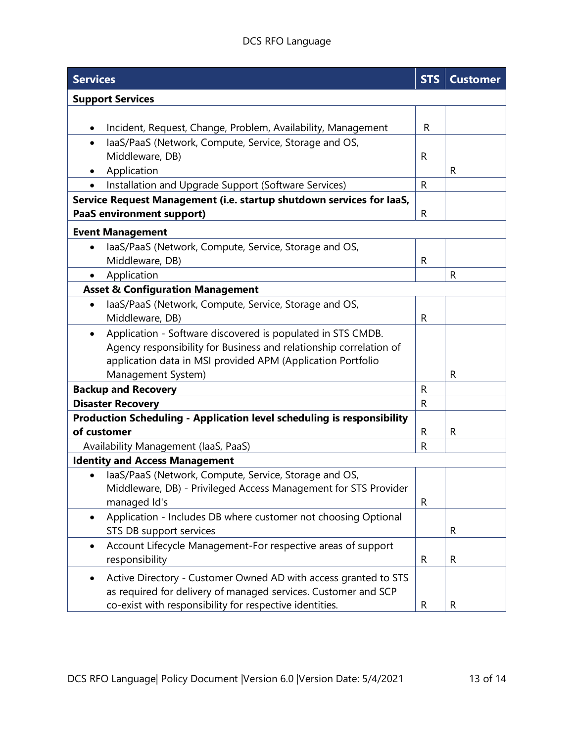## DCS RFO Language

| <b>Services</b>                                                           | <b>STS</b>   | <b>Customer</b> |
|---------------------------------------------------------------------------|--------------|-----------------|
| <b>Support Services</b>                                                   |              |                 |
|                                                                           |              |                 |
| Incident, Request, Change, Problem, Availability, Management<br>$\bullet$ | R            |                 |
| laaS/PaaS (Network, Compute, Service, Storage and OS,<br>$\bullet$        |              |                 |
| Middleware, DB)                                                           | R            |                 |
| Application<br>$\bullet$                                                  |              | R               |
| Installation and Upgrade Support (Software Services)                      | R            |                 |
| Service Request Management (i.e. startup shutdown services for laaS,      |              |                 |
| <b>PaaS environment support)</b>                                          | $\mathsf{R}$ |                 |
| <b>Event Management</b>                                                   |              |                 |
| laaS/PaaS (Network, Compute, Service, Storage and OS,<br>$\bullet$        |              |                 |
| Middleware, DB)                                                           | R            |                 |
| Application<br>$\bullet$                                                  |              | $\mathsf{R}$    |
| <b>Asset &amp; Configuration Management</b>                               |              |                 |
| laaS/PaaS (Network, Compute, Service, Storage and OS,<br>$\bullet$        |              |                 |
| Middleware, DB)                                                           | R            |                 |
| Application - Software discovered is populated in STS CMDB.<br>$\bullet$  |              |                 |
| Agency responsibility for Business and relationship correlation of        |              |                 |
| application data in MSI provided APM (Application Portfolio               |              |                 |
| Management System)                                                        |              | R               |
| <b>Backup and Recovery</b>                                                |              |                 |
| <b>Disaster Recovery</b>                                                  | $\mathsf{R}$ |                 |
| Production Scheduling - Application level scheduling is responsibility    |              |                 |
| of customer                                                               | R            | $\mathsf R$     |
| Availability Management (laaS, PaaS)                                      | R            |                 |
| <b>Identity and Access Management</b>                                     |              |                 |
| laaS/PaaS (Network, Compute, Service, Storage and OS,                     |              |                 |
| Middleware, DB) - Privileged Access Management for STS Provider           |              |                 |
| managed Id's                                                              | $\mathsf{R}$ |                 |
| Application - Includes DB where customer not choosing Optional            |              |                 |
| STS DB support services                                                   |              | R               |
| Account Lifecycle Management-For respective areas of support              |              |                 |
| responsibility                                                            | R            | R               |
| Active Directory - Customer Owned AD with access granted to STS           |              |                 |
| as required for delivery of managed services. Customer and SCP            |              |                 |
| co-exist with responsibility for respective identities.                   | R            | $\mathsf R$     |